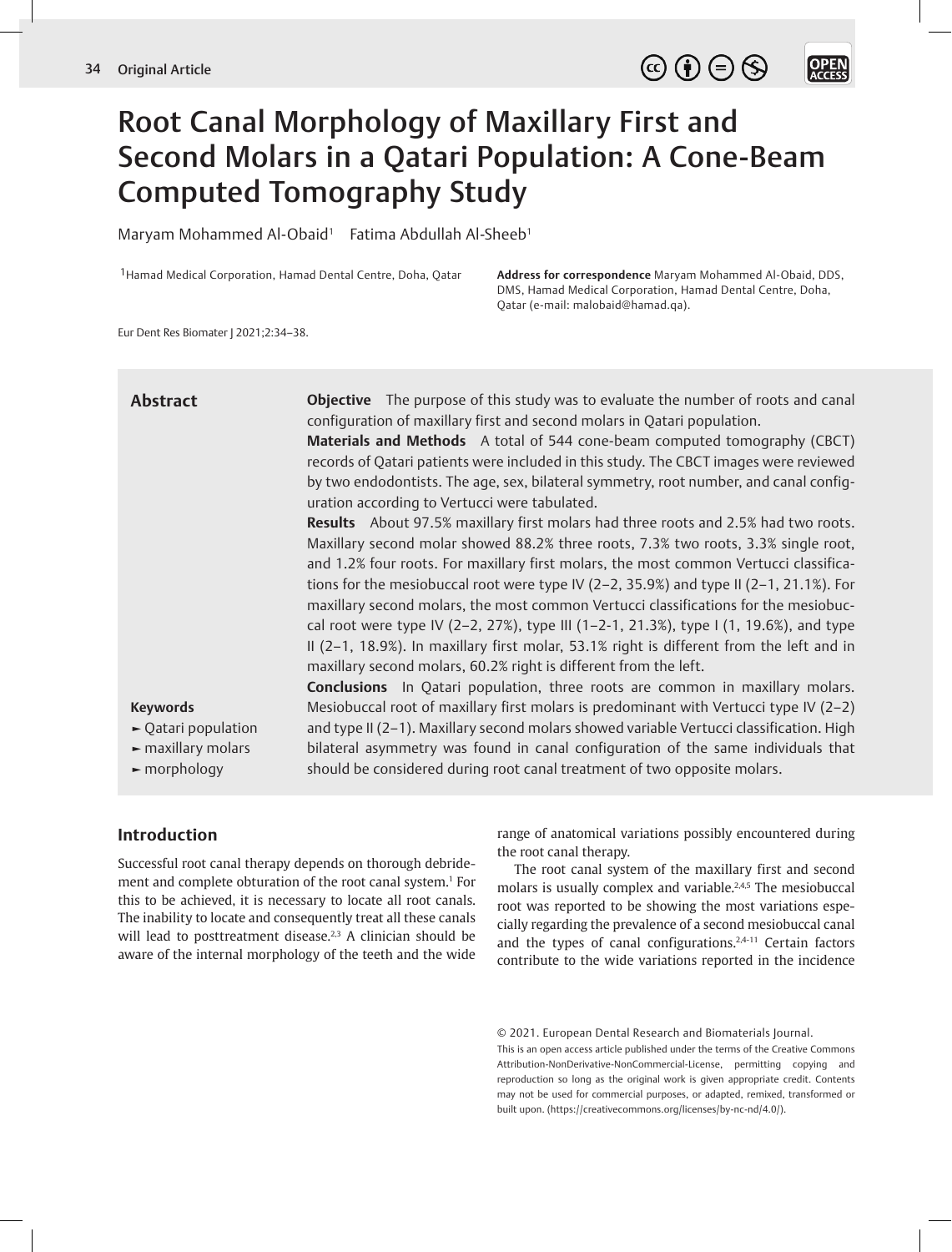**OPEN**<br>ACCESS

# Root Canal Morphology of Maxillary First and Second Molars in a Qatari Population: A Cone-Beam Computed Tomography Study

Maryam Mohammed Al-Obaid<sup>1</sup> Fatima Abdullah Al-Sheeb<sup>1</sup>

1Hamad Medical Corporation, Hamad Dental Centre, Doha, Qatar **Address for correspondence** Maryam Mohammed Al-Obaid, DDS, DMS, Hamad Medical Corporation, Hamad Dental Centre, Doha, Qatar (e-mail: malobaid@hamad.qa).

Eur Dent Res Biomater J 2021;2:34–38.

| <b>Abstract</b>                                                                                                                          | <b>Objective</b> The purpose of this study was to evaluate the number of roots and canal<br>configuration of maxillary first and second molars in Qatari population.<br>Materials and Methods A total of 544 cone-beam computed tomography (CBCT)<br>records of Qatari patients were included in this study. The CBCT images were reviewed<br>by two endodontists. The age, sex, bilateral symmetry, root number, and canal config-<br>uration according to Vertucci were tabulated.                                                                                                                                                                                                                         |
|------------------------------------------------------------------------------------------------------------------------------------------|--------------------------------------------------------------------------------------------------------------------------------------------------------------------------------------------------------------------------------------------------------------------------------------------------------------------------------------------------------------------------------------------------------------------------------------------------------------------------------------------------------------------------------------------------------------------------------------------------------------------------------------------------------------------------------------------------------------|
|                                                                                                                                          | Results About 97.5% maxillary first molars had three roots and 2.5% had two roots.<br>Maxillary second molar showed 88.2% three roots, 7.3% two roots, 3.3% single root,<br>and 1.2% four roots. For maxillary first molars, the most common Vertucci classifica-<br>tions for the mesiobuccal root were type IV (2-2, 35.9%) and type II (2-1, 21.1%). For<br>maxillary second molars, the most common Vertucci classifications for the mesiobuc-<br>cal root were type IV (2-2, 27%), type III (1-2-1, 21.3%), type I (1, 19.6%), and type<br>II (2-1, 18.9%). In maxillary first molar, 53.1% right is different from the left and in<br>maxillary second molars, 60.2% right is different from the left. |
| <b>Keywords</b><br>$\blacktriangleright$ Qatari population<br>$\blacktriangleright$ maxillary molars<br>$\blacktriangleright$ morphology | <b>Conclusions</b> In Qatari population, three roots are common in maxillary molars.<br>Mesiobuccal root of maxillary first molars is predominant with Vertucci type IV ( $2-2$ )<br>and type II (2-1). Maxillary second molars showed variable Vertucci classification. High<br>bilateral asymmetry was found in canal configuration of the same individuals that<br>should be considered during root canal treatment of two opposite molars.                                                                                                                                                                                                                                                               |

## **Introduction**

Successful root canal therapy depends on thorough debridement and complete obturation of the root canal system.<sup>1</sup> For this to be achieved, it is necessary to locate all root canals. The inability to locate and consequently treat all these canals will lead to posttreatment disease.<sup>2,3</sup> A clinician should be aware of the internal morphology of the teeth and the wide

range of anatomical variations possibly encountered during the root canal therapy.

The root canal system of the maxillary first and second molars is usually complex and variable.2,4,5 The mesiobuccal root was reported to be showing the most variations especially regarding the prevalence of a second mesiobuccal canal and the types of canal configurations.<sup>2,4-11</sup> Certain factors contribute to the wide variations reported in the incidence

This is an open access article published under the terms of the Creative Commons Attribution-NonDerivative-NonCommercial-License, permitting copying and reproduction so long as the original work is given appropriate credit. Contents may not be used for commercial purposes, or adapted, remixed, transformed or built upon. (https://creativecommons.org/licenses/by-nc-nd/4.0/).

<sup>© 2021.</sup> European Dental Research and Biomaterials Journal.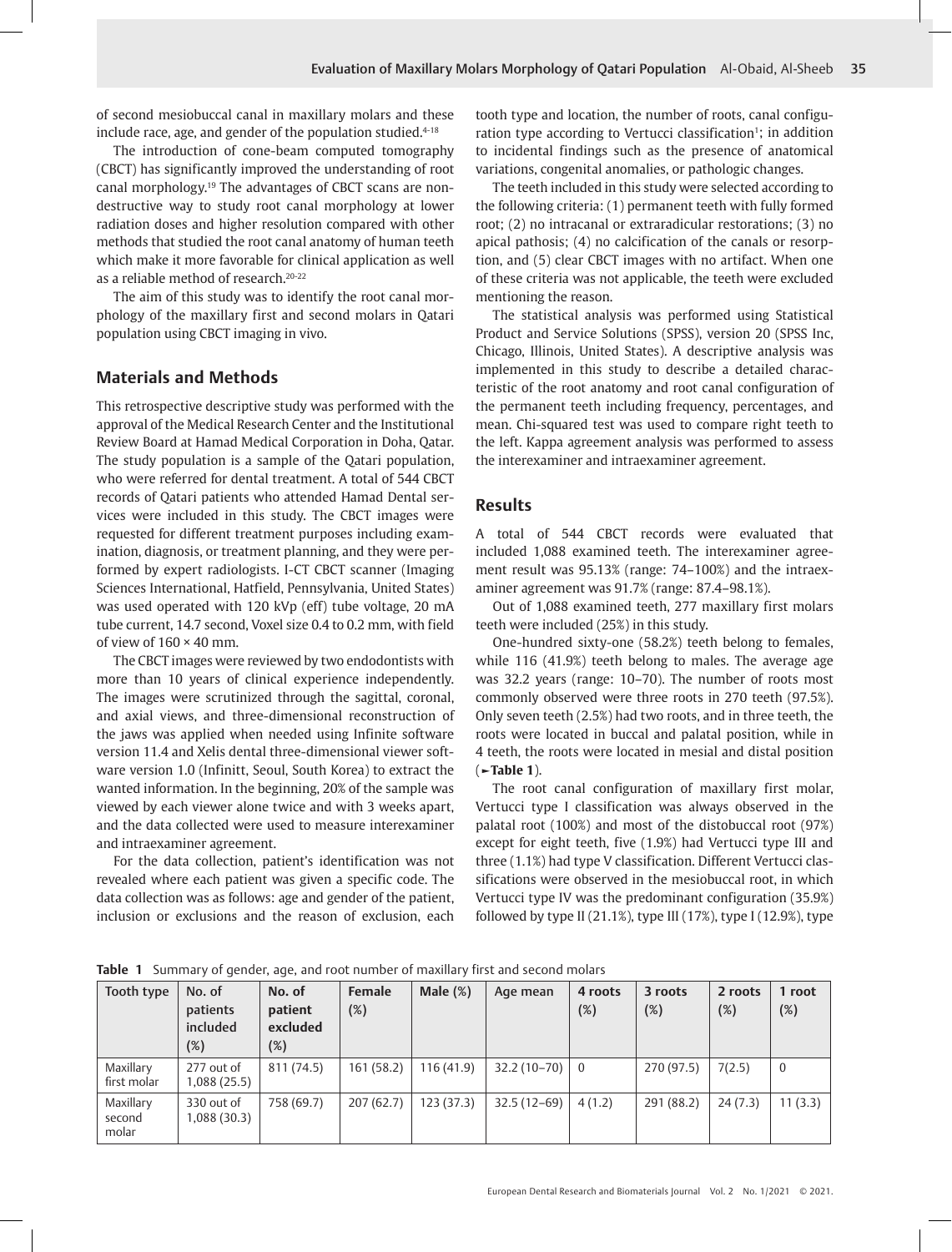of second mesiobuccal canal in maxillary molars and these include race, age, and gender of the population studied.<sup>4-18</sup>

The introduction of cone-beam computed tomography (CBCT) has significantly improved the understanding of root canal morphology.19 The advantages of CBCT scans are nondestructive way to study root canal morphology at lower radiation doses and higher resolution compared with other methods that studied the root canal anatomy of human teeth which make it more favorable for clinical application as well as a reliable method of research.<sup>20-22</sup>

The aim of this study was to identify the root canal morphology of the maxillary first and second molars in Qatari population using CBCT imaging in vivo.

## **Materials and Methods**

This retrospective descriptive study was performed with the approval of the Medical Research Center and the Institutional Review Board at Hamad Medical Corporation in Doha, Qatar. The study population is a sample of the Qatari population, who were referred for dental treatment. A total of 544 CBCT records of Qatari patients who attended Hamad Dental services were included in this study. The CBCT images were requested for different treatment purposes including examination, diagnosis, or treatment planning, and they were performed by expert radiologists. I-CT CBCT scanner (Imaging Sciences International, Hatfield, Pennsylvania, United States) was used operated with 120 kVp (eff) tube voltage, 20 mA tube current, 14.7 second, Voxel size 0.4 to 0.2 mm, with field of view of  $160 \times 40$  mm.

The CBCT images were reviewed by two endodontists with more than 10 years of clinical experience independently. The images were scrutinized through the sagittal, coronal, and axial views, and three-dimensional reconstruction of the jaws was applied when needed using Infinite software version 11.4 and Xelis dental three-dimensional viewer software version 1.0 (Infinitt, Seoul, South Korea) to extract the wanted information. In the beginning, 20% of the sample was viewed by each viewer alone twice and with 3 weeks apart, and the data collected were used to measure interexaminer and intraexaminer agreement.

For the data collection, patient's identification was not revealed where each patient was given a specific code. The data collection was as follows: age and gender of the patient, inclusion or exclusions and the reason of exclusion, each tooth type and location, the number of roots, canal configuration type according to Vertucci classification<sup>1</sup>; in addition to incidental findings such as the presence of anatomical variations, congenital anomalies, or pathologic changes.

The teeth included in this study were selected according to the following criteria: (1) permanent teeth with fully formed root; (2) no intracanal or extraradicular restorations; (3) no apical pathosis; (4) no calcification of the canals or resorption, and (5) clear CBCT images with no artifact. When one of these criteria was not applicable, the teeth were excluded mentioning the reason.

The statistical analysis was performed using Statistical Product and Service Solutions (SPSS), version 20 (SPSS Inc, Chicago, Illinois, United States). A descriptive analysis was implemented in this study to describe a detailed characteristic of the root anatomy and root canal configuration of the permanent teeth including frequency, percentages, and mean. Chi-squared test was used to compare right teeth to the left. Kappa agreement analysis was performed to assess the interexaminer and intraexaminer agreement.

#### **Results**

A total of 544 CBCT records were evaluated that included 1,088 examined teeth. The interexaminer agreement result was 95.13% (range: 74–100%) and the intraexaminer agreement was 91.7% (range: 87.4–98.1%).

Out of 1,088 examined teeth, 277 maxillary first molars teeth were included (25%) in this study.

One-hundred sixty-one (58.2%) teeth belong to females, while 116 (41.9%) teeth belong to males. The average age was 32.2 years (range: 10–70). The number of roots most commonly observed were three roots in 270 teeth (97.5%). Only seven teeth (2.5%) had two roots, and in three teeth, the roots were located in buccal and palatal position, while in 4 teeth, the roots were located in mesial and distal position (**►Table 1**).

The root canal configuration of maxillary first molar, Vertucci type I classification was always observed in the palatal root (100%) and most of the distobuccal root (97%) except for eight teeth, five (1.9%) had Vertucci type III and three (1.1%) had type V classification. Different Vertucci classifications were observed in the mesiobuccal root, in which Vertucci type IV was the predominant configuration (35.9%) followed by type II (21.1%), type III (17%), type I (12.9%), type

| Tooth type                   | No. of<br>patients<br>included<br>$(\%)$ | No. of<br>patient<br>excluded<br>(%) | <b>Female</b><br>(%) | Male $(\%)$ | Age mean      | 4 roots<br>(%) | 3 roots<br>(%) | 2 roots<br>(%) | 1 root<br>(%)    |
|------------------------------|------------------------------------------|--------------------------------------|----------------------|-------------|---------------|----------------|----------------|----------------|------------------|
| Maxillary<br>first molar     | 277 out of<br>1,088(25.5)                | 811 (74.5)                           | 161(58.2)            | 116(41.9)   | $32.2(10-70)$ | $\overline{0}$ | 270 (97.5)     | 7(2.5)         | $\boldsymbol{0}$ |
| Maxillary<br>second<br>molar | 330 out of<br>1,088(30.3)                | 758 (69.7)                           | 207(62.7)            | 123(37.3)   | $32.5(12-69)$ | 4(1.2)         | 291 (88.2)     | 24(7.3)        | 11(3.3)          |

**Table 1** Summary of gender, age, and root number of maxillary first and second molars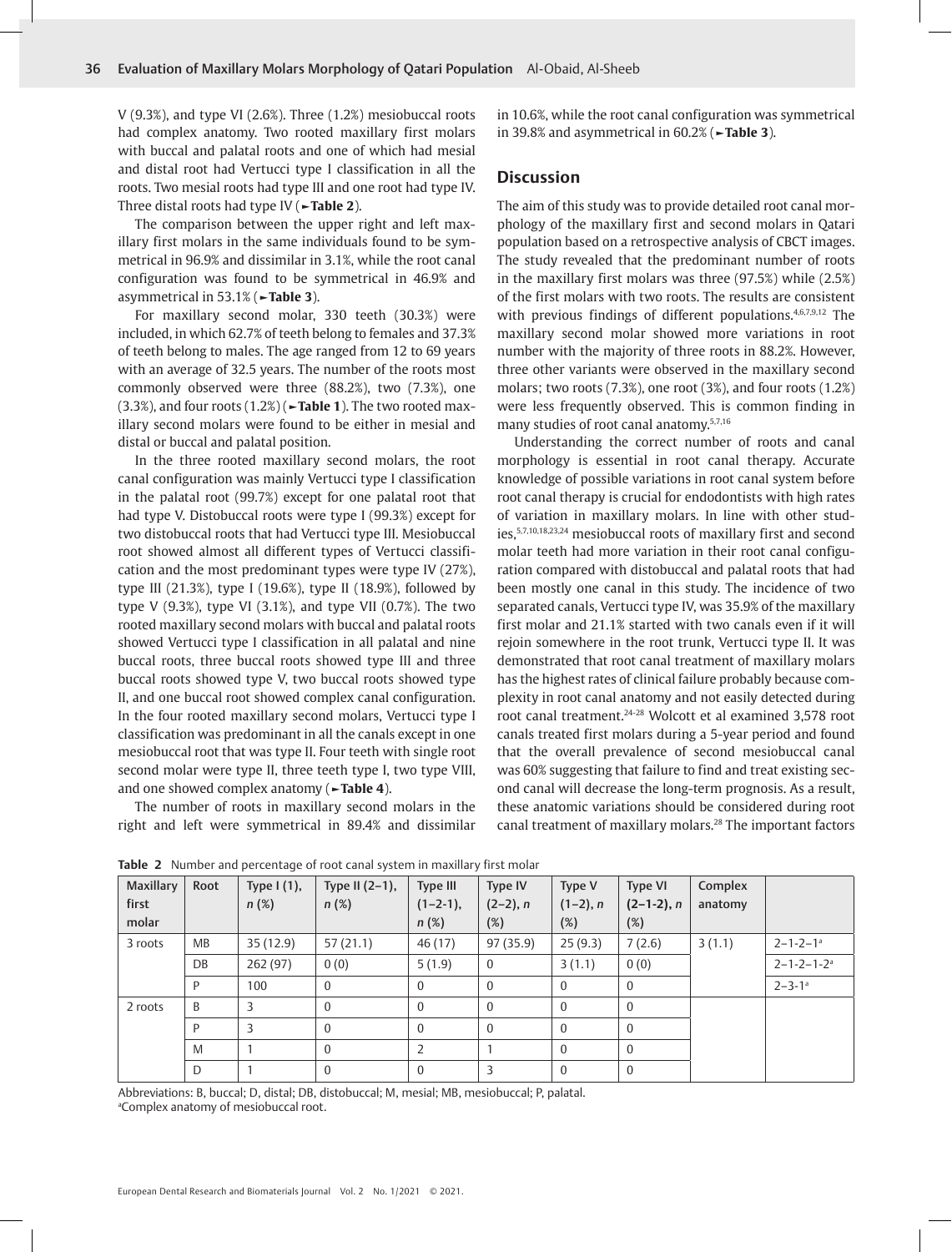V (9.3%), and type VI (2.6%). Three (1.2%) mesiobuccal roots had complex anatomy. Two rooted maxillary first molars with buccal and palatal roots and one of which had mesial and distal root had Vertucci type I classification in all the roots. Two mesial roots had type III and one root had type IV. Three distal roots had type IV (**►Table 2**).

The comparison between the upper right and left maxillary first molars in the same individuals found to be symmetrical in 96.9% and dissimilar in 3.1%, while the root canal configuration was found to be symmetrical in 46.9% and asymmetrical in 53.1% (**►Table 3**).

For maxillary second molar, 330 teeth (30.3%) were included, in which 62.7% of teeth belong to females and 37.3% of teeth belong to males. The age ranged from 12 to 69 years with an average of 32.5 years. The number of the roots most commonly observed were three (88.2%), two (7.3%), one (3.3%), and four roots (1.2%) (**►Table 1**). The two rooted maxillary second molars were found to be either in mesial and distal or buccal and palatal position.

In the three rooted maxillary second molars, the root canal configuration was mainly Vertucci type I classification in the palatal root (99.7%) except for one palatal root that had type V. Distobuccal roots were type I (99.3%) except for two distobuccal roots that had Vertucci type III. Mesiobuccal root showed almost all different types of Vertucci classification and the most predominant types were type IV (27%), type III (21.3%), type I (19.6%), type II (18.9%), followed by type V (9.3%), type VI (3.1%), and type VII (0.7%). The two rooted maxillary second molars with buccal and palatal roots showed Vertucci type I classification in all palatal and nine buccal roots, three buccal roots showed type III and three buccal roots showed type V, two buccal roots showed type II, and one buccal root showed complex canal configuration. In the four rooted maxillary second molars, Vertucci type I classification was predominant in all the canals except in one mesiobuccal root that was type II. Four teeth with single root second molar were type II, three teeth type I, two type VIII, and one showed complex anatomy (**►Table 4**).

The number of roots in maxillary second molars in the right and left were symmetrical in 89.4% and dissimilar in 10.6%, while the root canal configuration was symmetrical in 39.8% and asymmetrical in 60.2% (**►Table 3**).

#### **Discussion**

The aim of this study was to provide detailed root canal morphology of the maxillary first and second molars in Qatari population based on a retrospective analysis of CBCT images. The study revealed that the predominant number of roots in the maxillary first molars was three (97.5%) while (2.5%) of the first molars with two roots. The results are consistent with previous findings of different populations.<sup>4,6,7,9,12</sup> The maxillary second molar showed more variations in root number with the majority of three roots in 88.2%. However, three other variants were observed in the maxillary second molars; two roots (7.3%), one root (3%), and four roots (1.2%) were less frequently observed. This is common finding in many studies of root canal anatomy.5,7,16

Understanding the correct number of roots and canal morphology is essential in root canal therapy. Accurate knowledge of possible variations in root canal system before root canal therapy is crucial for endodontists with high rates of variation in maxillary molars. In line with other studies,5,7,10,18,23,24 mesiobuccal roots of maxillary first and second molar teeth had more variation in their root canal configuration compared with distobuccal and palatal roots that had been mostly one canal in this study. The incidence of two separated canals, Vertucci type IV, was 35.9% of the maxillary first molar and 21.1% started with two canals even if it will rejoin somewhere in the root trunk, Vertucci type II. It was demonstrated that root canal treatment of maxillary molars has the highest rates of clinical failure probably because complexity in root canal anatomy and not easily detected during root canal treatment.24-28 Wolcott et al examined 3,578 root canals treated first molars during a 5-year period and found that the overall prevalence of second mesiobuccal canal was 60% suggesting that failure to find and treat existing second canal will decrease the long-term prognosis. As a result, these anatomic variations should be considered during root canal treatment of maxillary molars.<sup>28</sup> The important factors

| Maxillary<br>first<br>molar | Root      | Type $I(1)$ ,<br>$n(\%)$ | Type II $(2-1)$ ,<br>$n(\%)$ | Type III<br>$(1-2-1)$ ,<br>$n(\%)$ | Type IV<br>$(2-2)$ , n<br>(%) | Type V<br>$(1-2)$ , n<br>(%) | <b>Type VI</b><br>$(2-1-2)$ , n<br>(%) | Complex<br>anatomy |                              |
|-----------------------------|-----------|--------------------------|------------------------------|------------------------------------|-------------------------------|------------------------------|----------------------------------------|--------------------|------------------------------|
| 3 roots                     | <b>MB</b> | 35(12.9)                 | 57(21.1)                     | 46 (17)                            | 97(35.9)                      | 25(9.3)                      | 7(2.6)                                 | 3(1.1)             | $2 - 1 - 2 - 1$ <sup>a</sup> |
|                             | DB        | 262 (97)                 | 0(0)                         | 5(1.9)                             | $\mathbf{0}$                  | 3(1.1)                       | 0(0)                                   |                    | $2 - 1 - 2 - 1 - 2^a$        |
|                             | P         | 100                      | $\Omega$                     | $\Omega$                           | $\mathbf{0}$                  | $\mathbf{0}$                 | $\bf{0}$                               |                    | $2 - 3 - 1$ <sup>a</sup>     |
| 2 roots                     | B         | 3                        | $\Omega$                     | $\Omega$                           | $\Omega$                      | $\Omega$                     | $\mathbf{0}$                           |                    |                              |
|                             | P         | 3                        | $\Omega$                     | $\mathbf{0}$                       | $\mathbf{0}$                  | $\mathbf{0}$                 | $\boldsymbol{0}$                       |                    |                              |
|                             | M         |                          | $\Omega$                     | $\overline{2}$                     |                               | $\Omega$                     | $\mathbf{0}$                           |                    |                              |
|                             | D         |                          | $\Omega$                     | $\Omega$                           | 3                             | $\Omega$                     | $\mathbf{0}$                           |                    |                              |

**Table 2** Number and percentage of root canal system in maxillary first molar

Abbreviations: B, buccal; D, distal; DB, distobuccal; M, mesial; MB, mesiobuccal; P, palatal. a Complex anatomy of mesiobuccal root.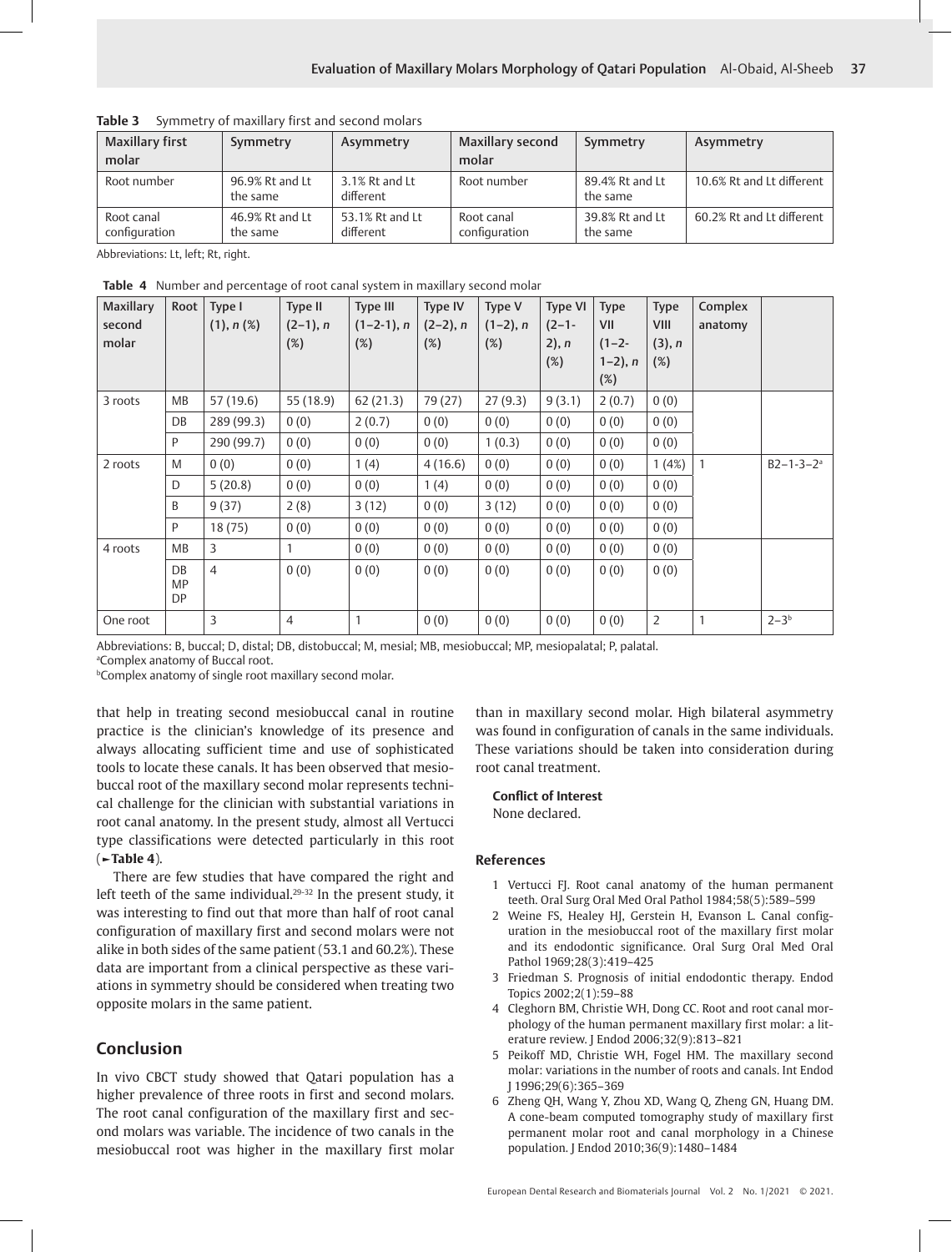| <b>Maxillary first</b><br>molar | Symmetry                    | Asymmetry                    | <b>Maxillary second</b><br>molar | Symmetry                    | Asymmetry                 |
|---------------------------------|-----------------------------|------------------------------|----------------------------------|-----------------------------|---------------------------|
| Root number                     | 96.9% Rt and Lt<br>the same | 3.1% Rt and Lt<br>different  | Root number                      | 89.4% Rt and Lt<br>the same | 10.6% Rt and Lt different |
| Root canal<br>configuration     | 46.9% Rt and Lt<br>the same | 53.1% Rt and Lt<br>different | Root canal<br>configuration      | 39.8% Rt and Lt<br>the same | 60.2% Rt and Lt different |

**Table 3** Symmetry of maxillary first and second molars

Abbreviations: Lt, left; Rt, right.

**Table 4** Number and percentage of root canal system in maxillary second molar

| <b>Maxillary</b><br>second<br>molar | Root                  | Type I<br>(1), n (%) | Type II<br>$(2-1)$ , n<br>(%) | <b>Type III</b><br>$(1-2-1)$ , n<br>$(\%)$ | Type IV<br>$(2-2)$ , n<br>(%) | Type V<br>$(1-2)$ , n<br>$(\%)$ | <b>Type VI</b><br>$(2-1-$<br>$2)$ , n<br>(%) | <b>Type</b><br>VII<br>$(1-2-$<br>$1-2$ ), n<br>$(\%)$ | <b>Type</b><br>VIII<br>(3), n<br>$(\%)$ | Complex<br>anatomy |                    |
|-------------------------------------|-----------------------|----------------------|-------------------------------|--------------------------------------------|-------------------------------|---------------------------------|----------------------------------------------|-------------------------------------------------------|-----------------------------------------|--------------------|--------------------|
| 3 roots                             | МB                    | 57 (19.6)            | 55 (18.9)                     | 62(21.3)                                   | 79 (27)                       | 27(9.3)                         | 9(3.1)                                       | 2(0.7)                                                | 0(0)                                    |                    |                    |
|                                     | DB                    | 289 (99.3)           | 0(0)                          | 2(0.7)                                     | 0(0)                          | 0(0)                            | 0(0)                                         | 0(0)                                                  | 0(0)                                    |                    |                    |
|                                     | P                     | 290 (99.7)           | 0(0)                          | 0(0)                                       | 0(0)                          | 1(0.3)                          | 0(0)                                         | 0(0)                                                  | 0(0)                                    |                    |                    |
| 2 roots                             | M                     | 0(0)                 | 0(0)                          | 1(4)                                       | 4(16.6)                       | 0(0)                            | 0(0)                                         | 0(0)                                                  | 1(4%)                                   | $\mathbf{1}$       | $B2 - 1 - 3 - 2^a$ |
|                                     | D                     | 5(20.8)              | 0(0)                          | 0(0)                                       | 1(4)                          | 0(0)                            | 0(0)                                         | 0(0)                                                  | 0(0)                                    |                    |                    |
|                                     | B                     | 9(37)                | 2(8)                          | 3(12)                                      | 0(0)                          | 3(12)                           | 0(0)                                         | 0(0)                                                  | 0(0)                                    |                    |                    |
|                                     | P                     | 18(75)               | 0(0)                          | 0(0)                                       | 0(0)                          | 0(0)                            | 0(0)                                         | 0(0)                                                  | 0(0)                                    |                    |                    |
| 4 roots                             | MB                    | 3                    | 1                             | 0(0)                                       | 0(0)                          | 0(0)                            | 0(0)                                         | 0(0)                                                  | 0(0)                                    |                    |                    |
|                                     | DB<br><b>MP</b><br>DP | $\overline{4}$       | 0(0)                          | 0(0)                                       | 0(0)                          | 0(0)                            | 0(0)                                         | 0(0)                                                  | 0(0)                                    |                    |                    |
| One root                            |                       | 3                    | $\overline{4}$                | $\mathbf{1}$                               | 0(0)                          | 0(0)                            | 0(0)                                         | 0(0)                                                  | $\overline{2}$                          |                    | $2 - 3b$           |

Abbreviations: B, buccal; D, distal; DB, distobuccal; M, mesial; MB, mesiobuccal; MP, mesiopalatal; P, palatal.

a Complex anatomy of Buccal root.

b Complex anatomy of single root maxillary second molar.

that help in treating second mesiobuccal canal in routine practice is the clinician's knowledge of its presence and always allocating sufficient time and use of sophisticated tools to locate these canals. It has been observed that mesiobuccal root of the maxillary second molar represents technical challenge for the clinician with substantial variations in root canal anatomy. In the present study, almost all Vertucci type classifications were detected particularly in this root (**►Table 4**).

There are few studies that have compared the right and left teeth of the same individual.<sup>29-32</sup> In the present study, it was interesting to find out that more than half of root canal configuration of maxillary first and second molars were not alike in both sides of the same patient (53.1 and 60.2%). These data are important from a clinical perspective as these variations in symmetry should be considered when treating two opposite molars in the same patient.

# **Conclusion**

In vivo CBCT study showed that Qatari population has a higher prevalence of three roots in first and second molars. The root canal configuration of the maxillary first and second molars was variable. The incidence of two canals in the mesiobuccal root was higher in the maxillary first molar than in maxillary second molar. High bilateral asymmetry was found in configuration of canals in the same individuals. These variations should be taken into consideration during root canal treatment.

### **Conflict of Interest**

None declared.

#### **References**

- 1 Vertucci FJ. Root canal anatomy of the human permanent teeth. Oral Surg Oral Med Oral Pathol 1984;58(5):589–599
- 2 Weine FS, Healey HJ, Gerstein H, Evanson L. Canal configuration in the mesiobuccal root of the maxillary first molar and its endodontic significance. Oral Surg Oral Med Oral Pathol 1969;28(3):419–425
- 3 Friedman S. Prognosis of initial endodontic therapy. Endod Topics 2002;2(1):59–88
- 4 Cleghorn BM, Christie WH, Dong CC. Root and root canal morphology of the human permanent maxillary first molar: a literature review. J Endod 2006;32(9):813–821
- 5 Peikoff MD, Christie WH, Fogel HM. The maxillary second molar: variations in the number of roots and canals. Int Endod J 1996;29(6):365–369
- 6 Zheng QH, Wang Y, Zhou XD, Wang Q, Zheng GN, Huang DM. A cone-beam computed tomography study of maxillary first permanent molar root and canal morphology in a Chinese population. J Endod 2010;36(9):1480–1484